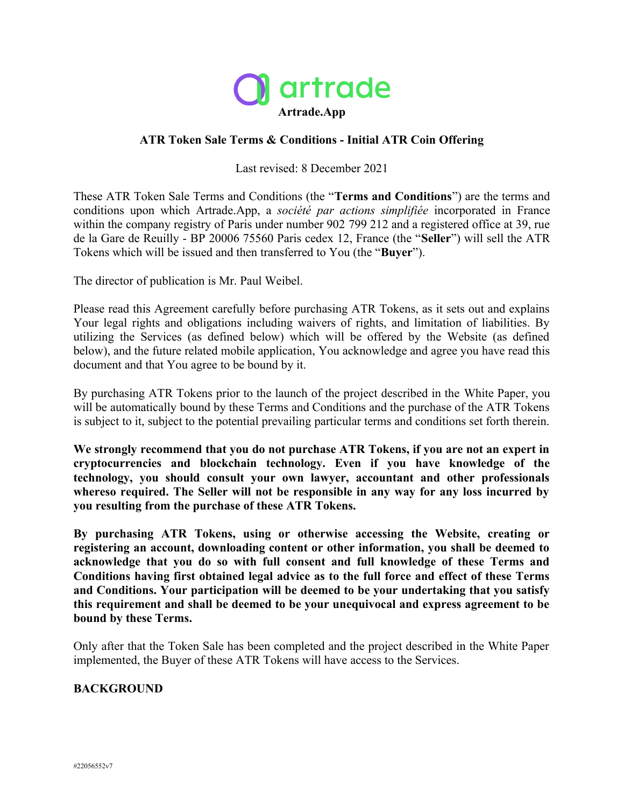

### **ATR Token Sale Terms & Conditions - Initial ATR Coin Offering**

Last revised: 8 December 2021

These ATR Token Sale Terms and Conditions (the "**Terms and Conditions**") are the terms and conditions upon which Artrade.App, a *société par actions simplifiée* incorporated in France within the company registry of Paris under number 902 799 212 and a registered office at 39, rue de la Gare de Reuilly - BP 20006 75560 Paris cedex 12, France (the "**Seller**") will sell the ATR Tokens which will be issued and then transferred to You (the "**Buyer**").

The director of publication is Mr. Paul Weibel.

Please read this Agreement carefully before purchasing ATR Tokens, as it sets out and explains Your legal rights and obligations including waivers of rights, and limitation of liabilities. By utilizing the Services (as defined below) which will be offered by the Website (as defined below), and the future related mobile application, You acknowledge and agree you have read this document and that You agree to be bound by it.

By purchasing ATR Tokens prior to the launch of the project described in the White Paper, you will be automatically bound by these Terms and Conditions and the purchase of the ATR Tokens is subject to it, subject to the potential prevailing particular terms and conditions set forth therein.

**We strongly recommend that you do not purchase ATR Tokens, if you are not an expert in cryptocurrencies and blockchain technology. Even if you have knowledge of the technology, you should consult your own lawyer, accountant and other professionals whereso required. The Seller will not be responsible in any way for any loss incurred by you resulting from the purchase of these ATR Tokens.**

**By purchasing ATR Tokens, using or otherwise accessing the Website, creating or registering an account, downloading content or other information, you shall be deemed to acknowledge that you do so with full consent and full knowledge of these Terms and Conditions having first obtained legal advice as to the full force and effect of these Terms and Conditions. Your participation will be deemed to be your undertaking that you satisfy this requirement and shall be deemed to be your unequivocal and express agreement to be bound by these Terms.**

Only after that the Token Sale has been completed and the project described in the White Paper implemented, the Buyer of these ATR Tokens will have access to the Services.

#### **BACKGROUND**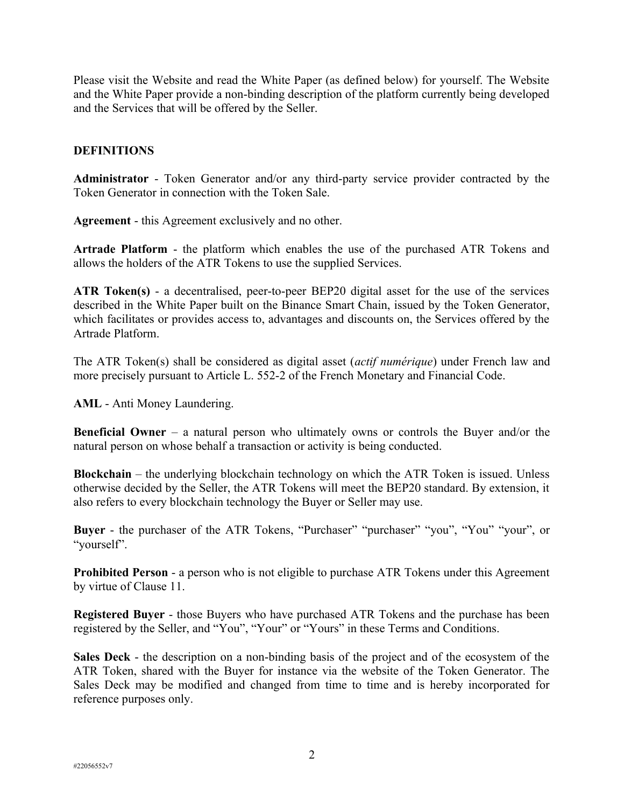Please visit the Website and read the White Paper (as defined below) for yourself. The Website and the White Paper provide a non-binding description of the platform currently being developed and the Services that will be offered by the Seller.

### **DEFINITIONS**

**Administrator** - Token Generator and/or any third-party service provider contracted by the Token Generator in connection with the Token Sale.

**Agreement** - this Agreement exclusively and no other.

**Artrade Platform** - the platform which enables the use of the purchased ATR Tokens and allows the holders of the ATR Tokens to use the supplied Services.

**ATR Token(s)** - a decentralised, peer-to-peer BEP20 digital asset for the use of the services described in the White Paper built on the Binance Smart Chain, issued by the Token Generator, which facilitates or provides access to, advantages and discounts on, the Services offered by the Artrade Platform.

The ATR Token(s) shall be considered as digital asset (*actif numérique*) under French law and more precisely pursuant to Article L. 552-2 of the French Monetary and Financial Code.

**AML** - Anti Money Laundering.

**Beneficial Owner** – a natural person who ultimately owns or controls the Buyer and/or the natural person on whose behalf a transaction or activity is being conducted.

**Blockchain** – the underlying blockchain technology on which the ATR Token is issued. Unless otherwise decided by the Seller, the ATR Tokens will meet the BEP20 standard. By extension, it also refers to every blockchain technology the Buyer or Seller may use.

**Buyer** - the purchaser of the ATR Tokens, "Purchaser" "purchaser" "you", "You" "your", or "yourself".

**Prohibited Person** - a person who is not eligible to purchase ATR Tokens under this Agreement by virtue of Clause 11.

**Registered Buyer** - those Buyers who have purchased ATR Tokens and the purchase has been registered by the Seller, and "You", "Your" or "Yours" in these Terms and Conditions.

**Sales Deck** - the description on a non-binding basis of the project and of the ecosystem of the ATR Token, shared with the Buyer for instance via the website of the Token Generator. The Sales Deck may be modified and changed from time to time and is hereby incorporated for reference purposes only.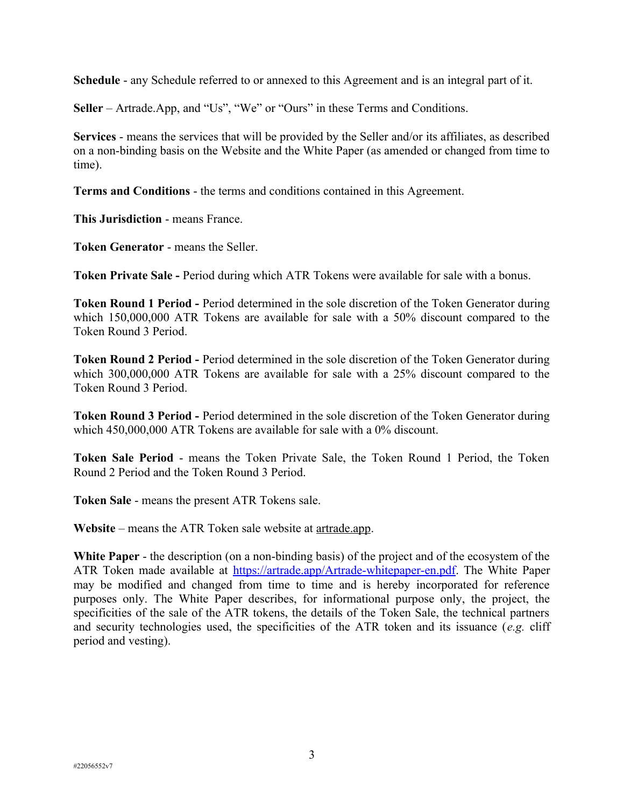**Schedule** - any Schedule referred to or annexed to this Agreement and is an integral part of it.

**Seller** – Artrade.App, and "Us", "We" or "Ours" in these Terms and Conditions.

**Services** - means the services that will be provided by the Seller and/or its affiliates, as described on a non-binding basis on the Website and the White Paper (as amended or changed from time to time).

**Terms and Conditions** - the terms and conditions contained in this Agreement.

**This Jurisdiction** - means France.

**Token Generator** - means the Seller.

**Token Private Sale -** Period during which ATR Tokens were available for sale with a bonus.

**Token Round 1 Period -** Period determined in the sole discretion of the Token Generator during which 150,000,000 ATR Tokens are available for sale with a 50% discount compared to the Token Round 3 Period.

**Token Round 2 Period -** Period determined in the sole discretion of the Token Generator during which 300,000,000 ATR Tokens are available for sale with a 25% discount compared to the Token Round 3 Period.

**Token Round 3 Period -** Period determined in the sole discretion of the Token Generator during which 450,000,000 ATR Tokens are available for sale with a 0% discount.

**Token Sale Period** - means the Token Private Sale, the Token Round 1 Period, the Token Round 2 Period and the Token Round 3 Period.

**Token Sale** - means the present ATR Tokens sale.

**Website** – means the ATR Token sale website at artrade.app.

**White Paper** - the description (on a non-binding basis) of the project and of the ecosystem of the ATR Token made available at<https://artrade.app/Artrade-whitepaper-en.pdf>. The White Paper may be modified and changed from time to time and is hereby incorporated for reference purposes only. The White Paper describes, for informational purpose only, the project, the specificities of the sale of the ATR tokens, the details of the Token Sale, the technical partners and security technologies used, the specificities of the ATR token and its issuance (*e.g.* cliff period and vesting).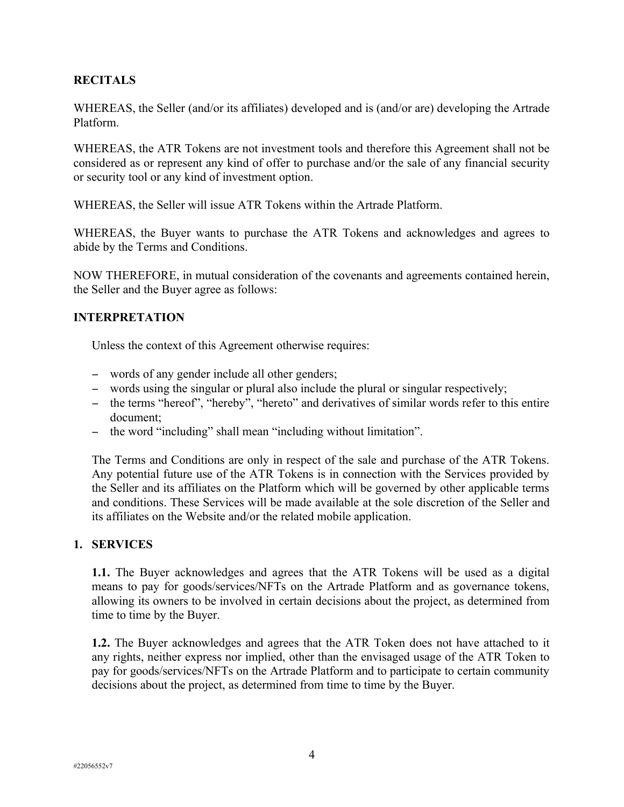### **RECITALS**

WHEREAS, the Seller (and/or its affiliates) developed and is (and/or are) developing the Artrade Platform.

WHEREAS, the ATR Tokens are not investment tools and therefore this Agreement shall not be considered as or represent any kind of offer to purchase and/or the sale of any financial security or security tool or any kind of investment option.

WHEREAS, the Seller will issue ATR Tokens within the Artrade Platform.

WHEREAS, the Buyer wants to purchase the ATR Tokens and acknowledges and agrees to abide by the Terms and Conditions.

NOW THEREFORE, in mutual consideration of the covenants and agreements contained herein, the Seller and the Buyer agree as follows:

### **INTERPRETATION**

Unless the context of this Agreement otherwise requires:

- words of any gender include all other genders;
- words using the singular or plural also include the plural or singular respectively;
- the terms "hereof", "hereby", "hereto" and derivatives of similar words refer to this entire document;
- the word "including" shall mean "including without limitation".

The Terms and Conditions are only in respect of the sale and purchase of the ATR Tokens. Any potential future use of the ATR Tokens is in connection with the Services provided by the Seller and its affiliates on the Platform which will be governed by other applicable terms and conditions. These Services will be made available at the sole discretion of the Seller and its affiliates on the Website and/or the related mobile application.

#### **1. SERVICES**

**1.1.** The Buyer acknowledges and agrees that the ATR Tokens will be used as a digital means to pay for goods/services/NFTs on the Artrade Platform and as governance tokens, allowing its owners to be involved in certain decisions about the project, as determined from time to time by the Buyer.

**1.2.** The Buyer acknowledges and agrees that the ATR Token does not have attached to it any rights, neither express nor implied, other than the envisaged usage of the ATR Token to pay for goods/services/NFTs on the Artrade Platform and to participate to certain community decisions about the project, as determined from time to time by the Buyer.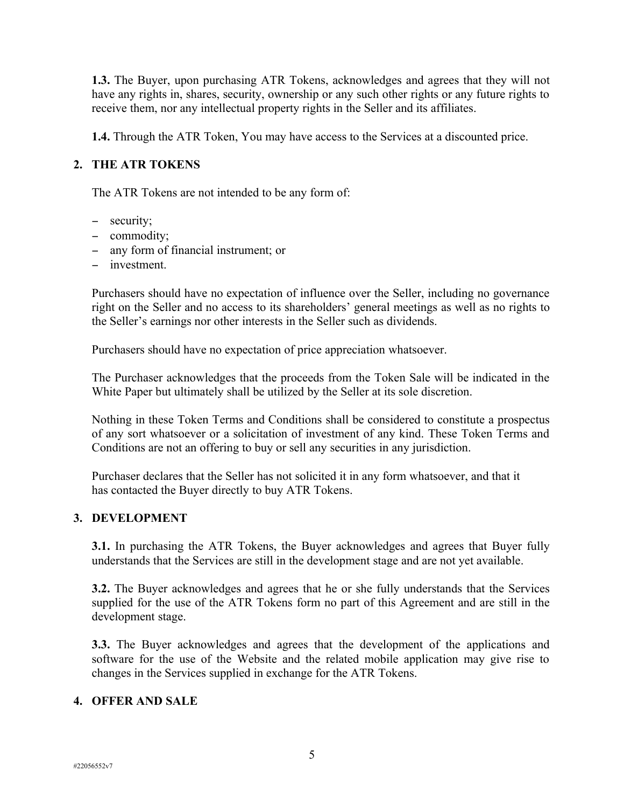**1.3.** The Buyer, upon purchasing ATR Tokens, acknowledges and agrees that they will not have any rights in, shares, security, ownership or any such other rights or any future rights to receive them, nor any intellectual property rights in the Seller and its affiliates.

**1.4.** Through the ATR Token, You may have access to the Services at a discounted price.

## **2. THE ATR TOKENS**

The ATR Tokens are not intended to be any form of:

- security;
- commodity;
- any form of financial instrument; or
- investment

Purchasers should have no expectation of influence over the Seller, including no governance right on the Seller and no access to its shareholders' general meetings as well as no rights to the Seller's earnings nor other interests in the Seller such as dividends.

Purchasers should have no expectation of price appreciation whatsoever.

The Purchaser acknowledges that the proceeds from the Token Sale will be indicated in the White Paper but ultimately shall be utilized by the Seller at its sole discretion.

Nothing in these Token Terms and Conditions shall be considered to constitute a prospectus of any sort whatsoever or a solicitation of investment of any kind. These Token Terms and Conditions are not an offering to buy or sell any securities in any jurisdiction.

Purchaser declares that the Seller has not solicited it in any form whatsoever, and that it has contacted the Buyer directly to buy ATR Tokens.

### **3. DEVELOPMENT**

**3.1.** In purchasing the ATR Tokens, the Buyer acknowledges and agrees that Buyer fully understands that the Services are still in the development stage and are not yet available.

**3.2.** The Buyer acknowledges and agrees that he or she fully understands that the Services supplied for the use of the ATR Tokens form no part of this Agreement and are still in the development stage.

**3.3.** The Buyer acknowledges and agrees that the development of the applications and software for the use of the Website and the related mobile application may give rise to changes in the Services supplied in exchange for the ATR Tokens.

### **4. OFFER AND SALE**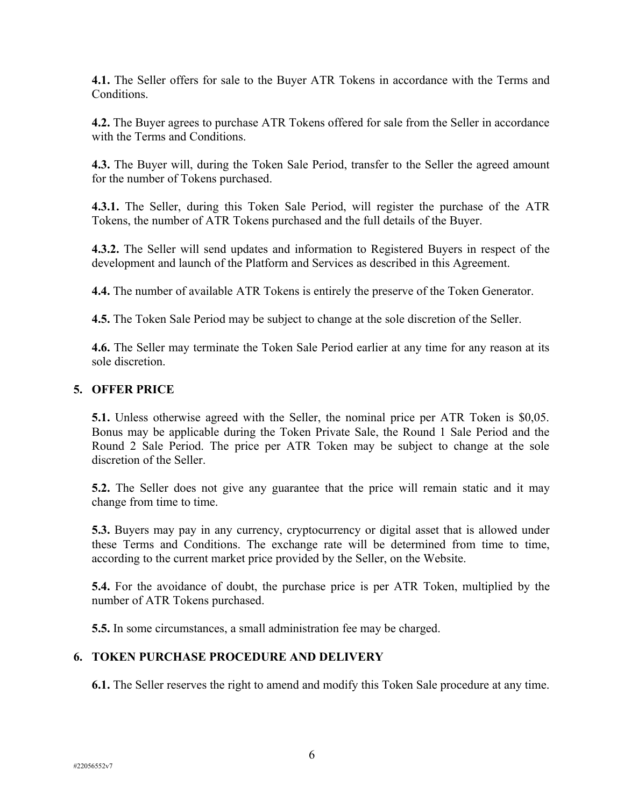**4.1.** The Seller offers for sale to the Buyer ATR Tokens in accordance with the Terms and Conditions.

**4.2.** The Buyer agrees to purchase ATR Tokens offered for sale from the Seller in accordance with the Terms and Conditions.

**4.3.** The Buyer will, during the Token Sale Period, transfer to the Seller the agreed amount for the number of Tokens purchased.

**4.3.1.** The Seller, during this Token Sale Period, will register the purchase of the ATR Tokens, the number of ATR Tokens purchased and the full details of the Buyer.

**4.3.2.** The Seller will send updates and information to Registered Buyers in respect of the development and launch of the Platform and Services as described in this Agreement.

**4.4.** The number of available ATR Tokens is entirely the preserve of the Token Generator.

**4.5.** The Token Sale Period may be subject to change at the sole discretion of the Seller.

**4.6.** The Seller may terminate the Token Sale Period earlier at any time for any reason at its sole discretion.

#### **5. OFFER PRICE**

**5.1.** Unless otherwise agreed with the Seller, the nominal price per ATR Token is \$0,05. Bonus may be applicable during the Token Private Sale, the Round 1 Sale Period and the Round 2 Sale Period. The price per ATR Token may be subject to change at the sole discretion of the Seller.

**5.2.** The Seller does not give any guarantee that the price will remain static and it may change from time to time.

**5.3.** Buyers may pay in any currency, cryptocurrency or digital asset that is allowed under these Terms and Conditions. The exchange rate will be determined from time to time, according to the current market price provided by the Seller, on the Website.

**5.4.** For the avoidance of doubt, the purchase price is per ATR Token, multiplied by the number of ATR Tokens purchased.

**5.5.** In some circumstances, a small administration fee may be charged.

### **6. TOKEN PURCHASE PROCEDURE AND DELIVERY**

**6.1.** The Seller reserves the right to amend and modify this Token Sale procedure at any time.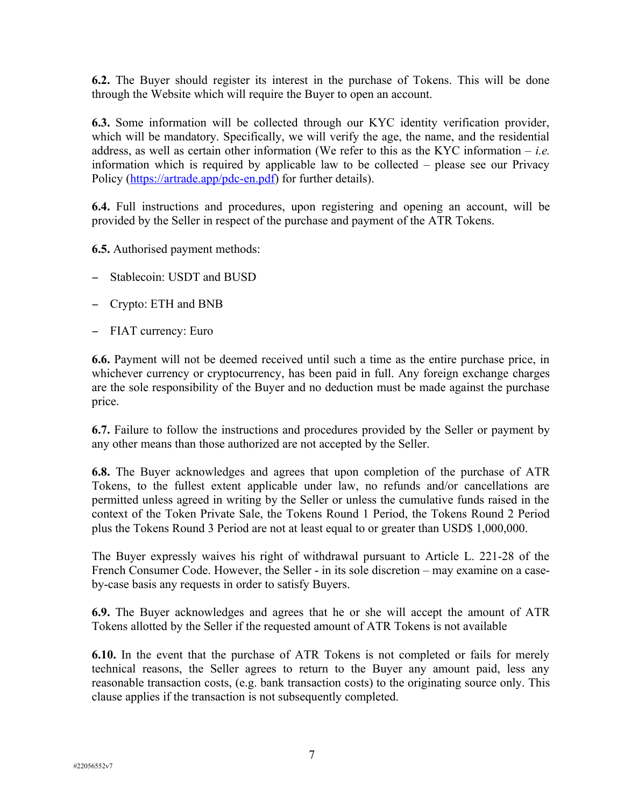**6.2.** The Buyer should register its interest in the purchase of Tokens. This will be done through the Website which will require the Buyer to open an account.

**6.3.** Some information will be collected through our KYC identity verification provider, which will be mandatory. Specifically, we will verify the age, the name, and the residential address, as well as certain other information (We refer to this as the KYC information – *i.e.* information which is required by applicable law to be collected – please see our Privacy Policy ([https://artrade.app/pdc-en.pdf\)](https://artrade.app/pdc-en.pdf) for further details).

**6.4.** Full instructions and procedures, upon registering and opening an account, will be provided by the Seller in respect of the purchase and payment of the ATR Tokens.

**6.5.** Authorised payment methods:

- Stablecoin: USDT and BUSD
- Crypto: ETH and BNB
- FIAT currency: Euro

**6.6.** Payment will not be deemed received until such a time as the entire purchase price, in whichever currency or cryptocurrency, has been paid in full. Any foreign exchange charges are the sole responsibility of the Buyer and no deduction must be made against the purchase price.

**6.7.** Failure to follow the instructions and procedures provided by the Seller or payment by any other means than those authorized are not accepted by the Seller.

**6.8.** The Buyer acknowledges and agrees that upon completion of the purchase of ATR Tokens, to the fullest extent applicable under law, no refunds and/or cancellations are permitted unless agreed in writing by the Seller or unless the cumulative funds raised in the context of the Token Private Sale, the Tokens Round 1 Period, the Tokens Round 2 Period plus the Tokens Round 3 Period are not at least equal to or greater than USD\$ 1,000,000.

The Buyer expressly waives his right of withdrawal pursuant to Article L. 221-28 of the French Consumer Code. However, the Seller - in its sole discretion – may examine on a caseby-case basis any requests in order to satisfy Buyers.

**6.9.** The Buyer acknowledges and agrees that he or she will accept the amount of ATR Tokens allotted by the Seller if the requested amount of ATR Tokens is not available

**6.10.** In the event that the purchase of ATR Tokens is not completed or fails for merely technical reasons, the Seller agrees to return to the Buyer any amount paid, less any reasonable transaction costs, (e.g. bank transaction costs) to the originating source only. This clause applies if the transaction is not subsequently completed.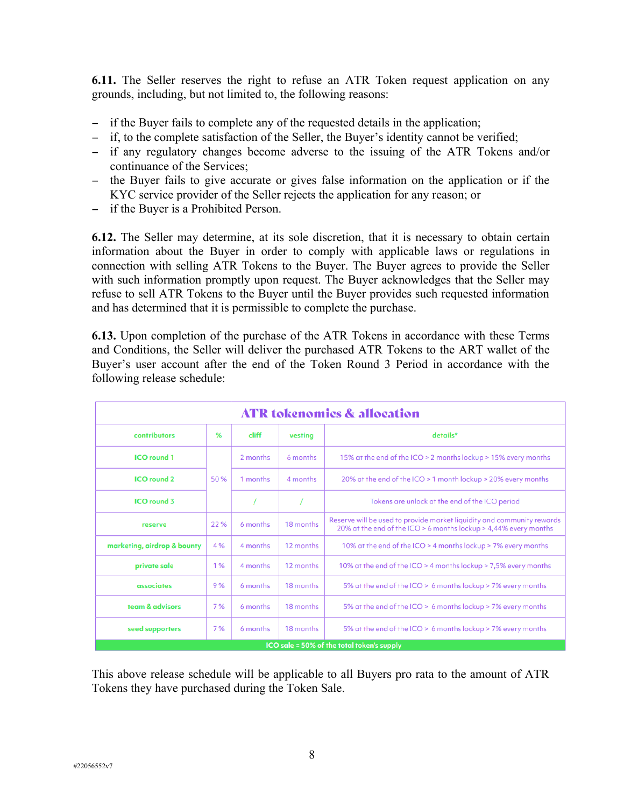**6.11.** The Seller reserves the right to refuse an ATR Token request application on any grounds, including, but not limited to, the following reasons:

- if the Buyer fails to complete any of the requested details in the application;
- if, to the complete satisfaction of the Seller, the Buyer's identity cannot be verified;
- if any regulatory changes become adverse to the issuing of the ATR Tokens and/or continuance of the Services;
- the Buyer fails to give accurate or gives false information on the application or if the KYC service provider of the Seller rejects the application for any reason; or
- if the Buyer is a Prohibited Person.

**6.12.** The Seller may determine, at its sole discretion, that it is necessary to obtain certain information about the Buyer in order to comply with applicable laws or regulations in connection with selling ATR Tokens to the Buyer. The Buyer agrees to provide the Seller with such information promptly upon request. The Buyer acknowledges that the Seller may refuse to sell ATR Tokens to the Buyer until the Buyer provides such requested information and has determined that it is permissible to complete the purchase.

**6.13.** Upon completion of the purchase of the ATR Tokens in accordance with these Terms and Conditions, the Seller will deliver the purchased ATR Tokens to the ART wallet of the Buyer's user account after the end of the Token Round 3 Period in accordance with the following release schedule:

| <b>ATR tokenomics &amp; allocation</b>     |      |          |           |                                                                                                                                            |
|--------------------------------------------|------|----------|-----------|--------------------------------------------------------------------------------------------------------------------------------------------|
| contributors                               | %    | cliff    | vestina   | details*                                                                                                                                   |
| <b>ICO</b> round 1                         | 50 % | 2 months | 6 months  | 15% at the end of the ICO > 2 months lockup > 15% every months                                                                             |
| <b>ICO</b> round 2                         |      | 1 months | 4 months  | 20% at the end of the ICO > 1 month lockup > 20% every months                                                                              |
| <b>ICO</b> round 3                         |      |          |           | Tokens are unlock at the end of the ICO period                                                                                             |
| reserve                                    | 22 % | 6 months | 18 months | Reserve will be used to provide market liquidity and community rewards<br>20% at the end of the ICO > 6 months lockup > 4,44% every months |
| marketing, airdrop & bounty                | 4 %  | 4 months | 12 months | 10% at the end of the ICO > 4 months lockup > 7% every months                                                                              |
| private sale                               | 1%   | 4 months | 12 months | 10% at the end of the ICO > 4 months lockup > 7,5% every months                                                                            |
| associates                                 | 9%   | 6 months | 18 months | 5% at the end of the ICO > 6 months lockup > 7% every months                                                                               |
| team & advisors                            | 7%   | 6 months | 18 months | 5% at the end of the ICO > 6 months lockup > 7% every months                                                                               |
| seed supporters                            | 7%   | 6 months | 18 months | 5% at the end of the ICO > 6 months lockup > 7% every months                                                                               |
| ICO sale = 50% of the total token's supply |      |          |           |                                                                                                                                            |

This above release schedule will be applicable to all Buyers pro rata to the amount of ATR Tokens they have purchased during the Token Sale.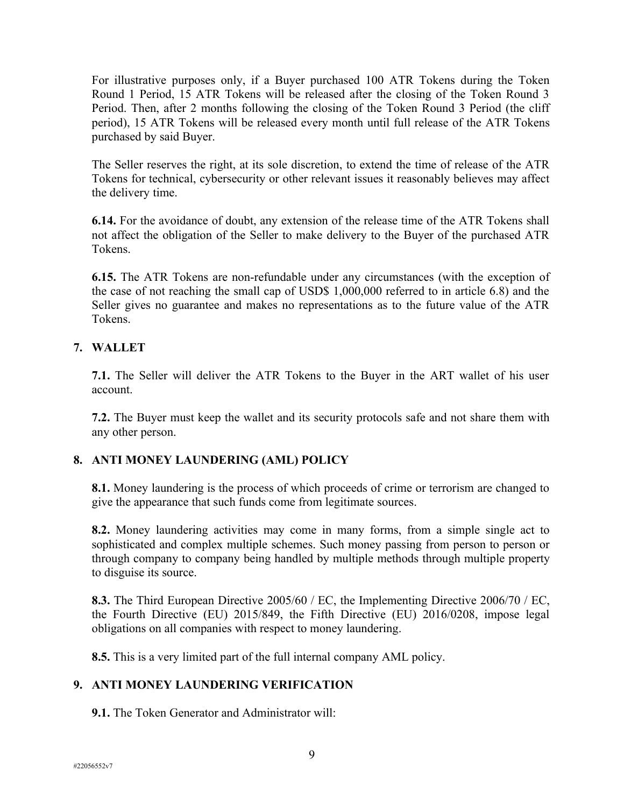For illustrative purposes only, if a Buyer purchased 100 ATR Tokens during the Token Round 1 Period, 15 ATR Tokens will be released after the closing of the Token Round 3 Period. Then, after 2 months following the closing of the Token Round 3 Period (the cliff period), 15 ATR Tokens will be released every month until full release of the ATR Tokens purchased by said Buyer.

The Seller reserves the right, at its sole discretion, to extend the time of release of the ATR Tokens for technical, cybersecurity or other relevant issues it reasonably believes may affect the delivery time.

**6.14.** For the avoidance of doubt, any extension of the release time of the ATR Tokens shall not affect the obligation of the Seller to make delivery to the Buyer of the purchased ATR Tokens.

**6.15.** The ATR Tokens are non-refundable under any circumstances (with the exception of the case of not reaching the small cap of USD\$ 1,000,000 referred to in article 6.8) and the Seller gives no guarantee and makes no representations as to the future value of the ATR Tokens.

## **7. WALLET**

**7.1.** The Seller will deliver the ATR Tokens to the Buyer in the ART wallet of his user account.

**7.2.** The Buyer must keep the wallet and its security protocols safe and not share them with any other person.

### **8. ANTI MONEY LAUNDERING (AML) POLICY**

**8.1.** Money laundering is the process of which proceeds of crime or terrorism are changed to give the appearance that such funds come from legitimate sources.

**8.2.** Money laundering activities may come in many forms, from a simple single act to sophisticated and complex multiple schemes. Such money passing from person to person or through company to company being handled by multiple methods through multiple property to disguise its source.

**8.3.** The Third European Directive 2005/60 / EC, the Implementing Directive 2006/70 / EC, the Fourth Directive (EU) 2015/849, the Fifth Directive (EU) 2016/0208, impose legal obligations on all companies with respect to money laundering.

**8.5.** This is a very limited part of the full internal company AML policy.

# **9. ANTI MONEY LAUNDERING VERIFICATION**

**9.1.** The Token Generator and Administrator will: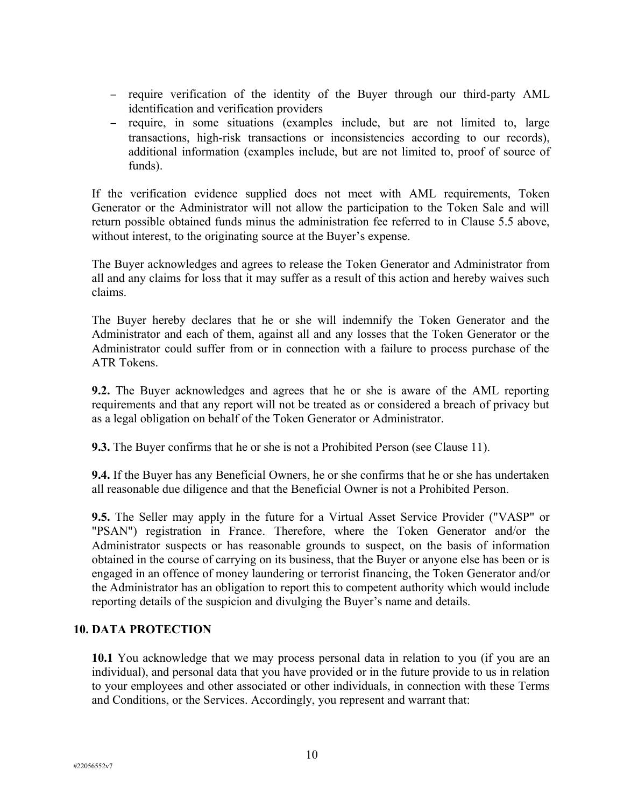- require verification of the identity of the Buyer through our third-party AML identification and verification providers
- require, in some situations (examples include, but are not limited to, large transactions, high-risk transactions or inconsistencies according to our records), additional information (examples include, but are not limited to, proof of source of funds).

If the verification evidence supplied does not meet with AML requirements, Token Generator or the Administrator will not allow the participation to the Token Sale and will return possible obtained funds minus the administration fee referred to in Clause 5.5 above, without interest, to the originating source at the Buyer's expense.

The Buyer acknowledges and agrees to release the Token Generator and Administrator from all and any claims for loss that it may suffer as a result of this action and hereby waives such claims.

The Buyer hereby declares that he or she will indemnify the Token Generator and the Administrator and each of them, against all and any losses that the Token Generator or the Administrator could suffer from or in connection with a failure to process purchase of the ATR Tokens.

**9.2.** The Buyer acknowledges and agrees that he or she is aware of the AML reporting requirements and that any report will not be treated as or considered a breach of privacy but as a legal obligation on behalf of the Token Generator or Administrator.

**9.3.** The Buyer confirms that he or she is not a Prohibited Person (see Clause 11).

**9.4.** If the Buyer has any Beneficial Owners, he or she confirms that he or she has undertaken all reasonable due diligence and that the Beneficial Owner is not a Prohibited Person.

**9.5.** The Seller may apply in the future for a Virtual Asset Service Provider ("VASP" or "PSAN") registration in France. Therefore, where the Token Generator and/or the Administrator suspects or has reasonable grounds to suspect, on the basis of information obtained in the course of carrying on its business, that the Buyer or anyone else has been or is engaged in an offence of money laundering or terrorist financing, the Token Generator and/or the Administrator has an obligation to report this to competent authority which would include reporting details of the suspicion and divulging the Buyer's name and details.

### **10. DATA PROTECTION**

**10.1** You acknowledge that we may process personal data in relation to you (if you are an individual), and personal data that you have provided or in the future provide to us in relation to your employees and other associated or other individuals, in connection with these Terms and Conditions, or the Services. Accordingly, you represent and warrant that: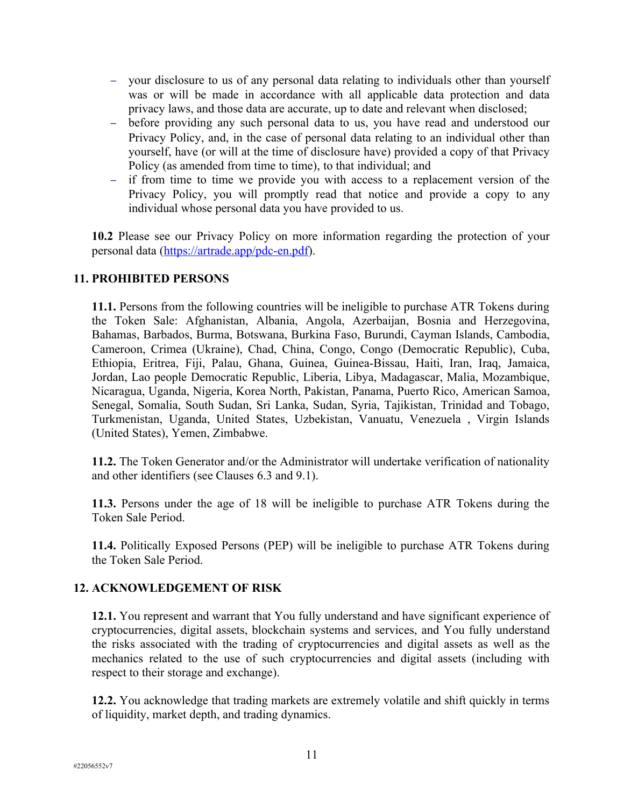- your disclosure to us of any personal data relating to individuals other than yourself was or will be made in accordance with all applicable data protection and data privacy laws, and those data are accurate, up to date and relevant when disclosed;
- before providing any such personal data to us, you have read and understood our Privacy Policy, and, in the case of personal data relating to an individual other than yourself, have (or will at the time of disclosure have) provided a copy of that Privacy Policy (as amended from time to time), to that individual; and
- if from time to time we provide you with access to a replacement version of the Privacy Policy, you will promptly read that notice and provide a copy to any individual whose personal data you have provided to us.

**10.2** Please see our Privacy Policy on more information regarding the protection of your personal data ([https://artrade.app/pdc-en.pdf\)](https://artrade.app/pdc-en.pdf).

## **11. PROHIBITED PERSONS**

**11.1.** Persons from the following countries will be ineligible to purchase ATR Tokens during the Token Sale: Afghanistan, Albania, Angola, Azerbaijan, Bosnia and Herzegovina, Bahamas, Barbados, Burma, Botswana, Burkina Faso, Burundi, Cayman Islands, Cambodia, Cameroon, Crimea (Ukraine), Chad, China, Congo, Congo (Democratic Republic), Cuba, Ethiopia, Eritrea, Fiji, Palau, Ghana, Guinea, Guinea-Bissau, Haiti, Iran, Iraq, Jamaica, Jordan, Lao people Democratic Republic, Liberia, Libya, Madagascar, Malia, Mozambique, Nicaragua, Uganda, Nigeria, Korea North, Pakistan, Panama, Puerto Rico, American Samoa, Senegal, Somalia, South Sudan, Sri Lanka, Sudan, Syria, Tajikistan, Trinidad and Tobago, Turkmenistan, Uganda, United States, Uzbekistan, Vanuatu, Venezuela , Virgin Islands (United States), Yemen, Zimbabwe.

**11.2.** The Token Generator and/or the Administrator will undertake verification of nationality and other identifiers (see Clauses 6.3 and 9.1).

**11.3.** Persons under the age of 18 will be ineligible to purchase ATR Tokens during the Token Sale Period.

**11.4.** Politically Exposed Persons (PEP) will be ineligible to purchase ATR Tokens during the Token Sale Period.

### **12. ACKNOWLEDGEMENT OF RISK**

**12.1.** You represent and warrant that You fully understand and have significant experience of cryptocurrencies, digital assets, blockchain systems and services, and You fully understand the risks associated with the trading of cryptocurrencies and digital assets as well as the mechanics related to the use of such cryptocurrencies and digital assets (including with respect to their storage and exchange).

**12.2.** You acknowledge that trading markets are extremely volatile and shift quickly in terms of liquidity, market depth, and trading dynamics.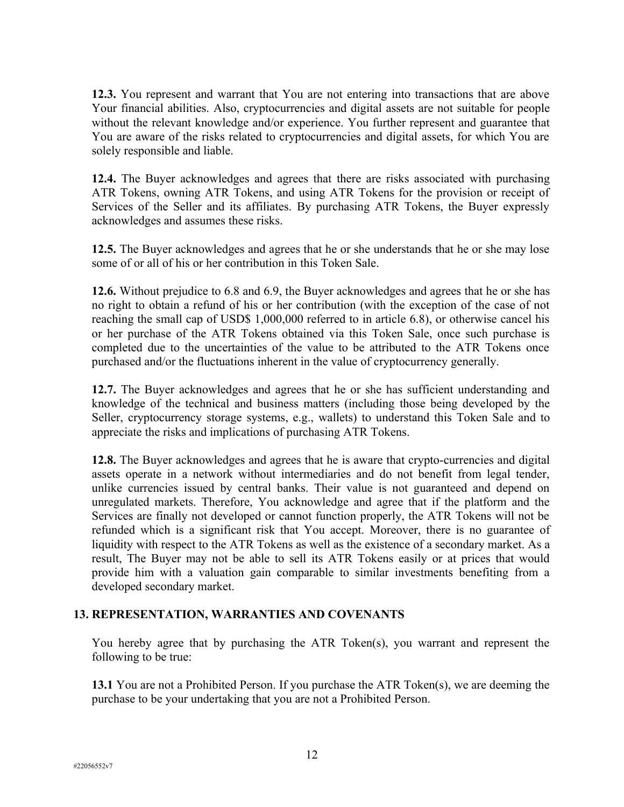**12.3.** You represent and warrant that You are not entering into transactions that are above Your financial abilities. Also, cryptocurrencies and digital assets are not suitable for people without the relevant knowledge and/or experience. You further represent and guarantee that You are aware of the risks related to cryptocurrencies and digital assets, for which You are solely responsible and liable.

**12.4.** The Buyer acknowledges and agrees that there are risks associated with purchasing ATR Tokens, owning ATR Tokens, and using ATR Tokens for the provision or receipt of Services of the Seller and its affiliates. By purchasing ATR Tokens, the Buyer expressly acknowledges and assumes these risks.

**12.5.** The Buyer acknowledges and agrees that he or she understands that he or she may lose some of or all of his or her contribution in this Token Sale.

**12.6.** Without prejudice to 6.8 and 6.9, the Buyer acknowledges and agrees that he or she has no right to obtain a refund of his or her contribution (with the exception of the case of not reaching the small cap of USD\$ 1,000,000 referred to in article 6.8), or otherwise cancel his or her purchase of the ATR Tokens obtained via this Token Sale, once such purchase is completed due to the uncertainties of the value to be attributed to the ATR Tokens once purchased and/or the fluctuations inherent in the value of cryptocurrency generally.

**12.7.** The Buyer acknowledges and agrees that he or she has sufficient understanding and knowledge of the technical and business matters (including those being developed by the Seller, cryptocurrency storage systems, e.g., wallets) to understand this Token Sale and to appreciate the risks and implications of purchasing ATR Tokens.

**12.8.** The Buyer acknowledges and agrees that he is aware that crypto-currencies and digital assets operate in a network without intermediaries and do not benefit from legal tender, unlike currencies issued by central banks. Their value is not guaranteed and depend on unregulated markets. Therefore, You acknowledge and agree that if the platform and the Services are finally not developed or cannot function properly, the ATR Tokens will not be refunded which is a significant risk that You accept. Moreover, there is no guarantee of liquidity with respect to the ATR Tokens as well as the existence of a secondary market. As a result, The Buyer may not be able to sell its ATR Tokens easily or at prices that would provide him with a valuation gain comparable to similar investments benefiting from a developed secondary market.

### **13. REPRESENTATION, WARRANTIES AND COVENANTS**

You hereby agree that by purchasing the ATR Token(s), you warrant and represent the following to be true:

**13.1** You are not a Prohibited Person. If you purchase the ATR Token(s), we are deeming the purchase to be your undertaking that you are not a Prohibited Person.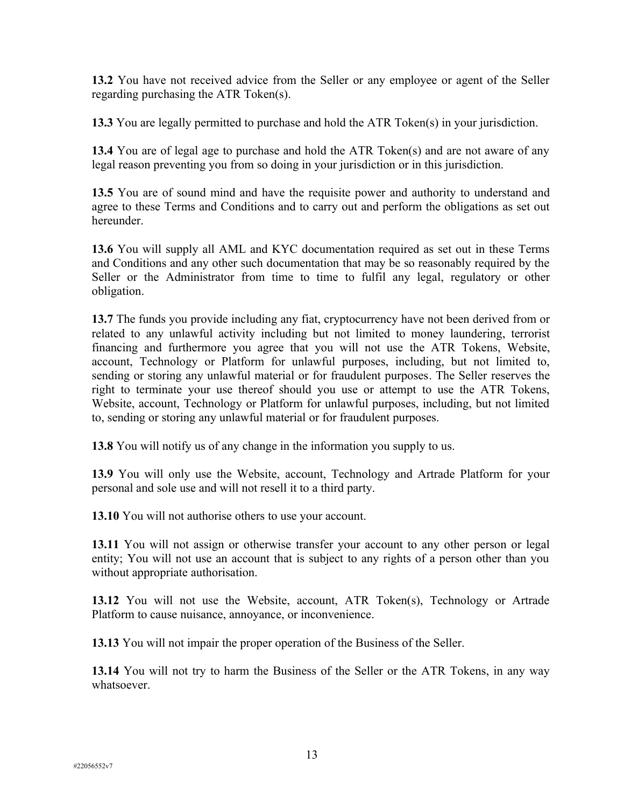**13.2** You have not received advice from the Seller or any employee or agent of the Seller regarding purchasing the ATR Token(s).

**13.3** You are legally permitted to purchase and hold the ATR Token(s) in your jurisdiction.

**13.4** You are of legal age to purchase and hold the ATR Token(s) and are not aware of any legal reason preventing you from so doing in your jurisdiction or in this jurisdiction.

**13.5** You are of sound mind and have the requisite power and authority to understand and agree to these Terms and Conditions and to carry out and perform the obligations as set out hereunder.

**13.6** You will supply all AML and KYC documentation required as set out in these Terms and Conditions and any other such documentation that may be so reasonably required by the Seller or the Administrator from time to time to fulfil any legal, regulatory or other obligation.

**13.7** The funds you provide including any fiat, cryptocurrency have not been derived from or related to any unlawful activity including but not limited to money laundering, terrorist financing and furthermore you agree that you will not use the ATR Tokens, Website, account, Technology or Platform for unlawful purposes, including, but not limited to, sending or storing any unlawful material or for fraudulent purposes. The Seller reserves the right to terminate your use thereof should you use or attempt to use the ATR Tokens, Website, account, Technology or Platform for unlawful purposes, including, but not limited to, sending or storing any unlawful material or for fraudulent purposes.

**13.8** You will notify us of any change in the information you supply to us.

**13.9** You will only use the Website, account, Technology and Artrade Platform for your personal and sole use and will not resell it to a third party.

**13.10** You will not authorise others to use your account.

**13.11** You will not assign or otherwise transfer your account to any other person or legal entity; You will not use an account that is subject to any rights of a person other than you without appropriate authorisation.

**13.12** You will not use the Website, account, ATR Token(s), Technology or Artrade Platform to cause nuisance, annoyance, or inconvenience.

**13.13** You will not impair the proper operation of the Business of the Seller.

**13.14** You will not try to harm the Business of the Seller or the ATR Tokens, in any way whatsoever.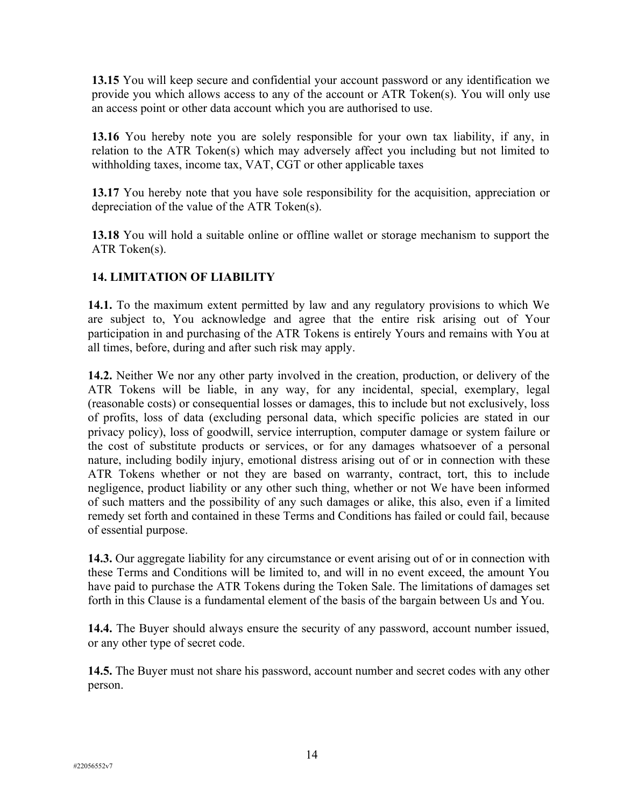**13.15** You will keep secure and confidential your account password or any identification we provide you which allows access to any of the account or ATR Token(s). You will only use an access point or other data account which you are authorised to use.

**13.16** You hereby note you are solely responsible for your own tax liability, if any, in relation to the ATR Token(s) which may adversely affect you including but not limited to withholding taxes, income tax, VAT, CGT or other applicable taxes

**13.17** You hereby note that you have sole responsibility for the acquisition, appreciation or depreciation of the value of the ATR Token(s).

**13.18** You will hold a suitable online or offline wallet or storage mechanism to support the ATR Token(s).

# **14. LIMITATION OF LIABILITY**

**14.1.** To the maximum extent permitted by law and any regulatory provisions to which We are subject to, You acknowledge and agree that the entire risk arising out of Your participation in and purchasing of the ATR Tokens is entirely Yours and remains with You at all times, before, during and after such risk may apply.

**14.2.** Neither We nor any other party involved in the creation, production, or delivery of the ATR Tokens will be liable, in any way, for any incidental, special, exemplary, legal (reasonable costs) or consequential losses or damages, this to include but not exclusively, loss of profits, loss of data (excluding personal data, which specific policies are stated in our privacy policy), loss of goodwill, service interruption, computer damage or system failure or the cost of substitute products or services, or for any damages whatsoever of a personal nature, including bodily injury, emotional distress arising out of or in connection with these ATR Tokens whether or not they are based on warranty, contract, tort, this to include negligence, product liability or any other such thing, whether or not We have been informed of such matters and the possibility of any such damages or alike, this also, even if a limited remedy set forth and contained in these Terms and Conditions has failed or could fail, because of essential purpose.

**14.3.** Our aggregate liability for any circumstance or event arising out of or in connection with these Terms and Conditions will be limited to, and will in no event exceed, the amount You have paid to purchase the ATR Tokens during the Token Sale. The limitations of damages set forth in this Clause is a fundamental element of the basis of the bargain between Us and You.

**14.4.** The Buyer should always ensure the security of any password, account number issued, or any other type of secret code.

**14.5.** The Buyer must not share his password, account number and secret codes with any other person.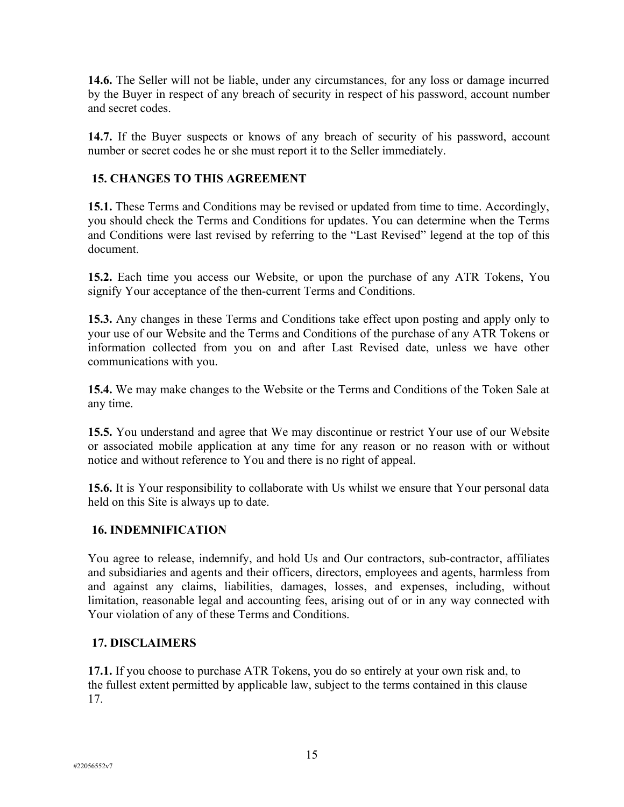**14.6.** The Seller will not be liable, under any circumstances, for any loss or damage incurred by the Buyer in respect of any breach of security in respect of his password, account number and secret codes.

**14.7.** If the Buyer suspects or knows of any breach of security of his password, account number or secret codes he or she must report it to the Seller immediately.

# **15. CHANGES TO THIS AGREEMENT**

**15.1.** These Terms and Conditions may be revised or updated from time to time. Accordingly, you should check the Terms and Conditions for updates. You can determine when the Terms and Conditions were last revised by referring to the "Last Revised" legend at the top of this document.

**15.2.** Each time you access our Website, or upon the purchase of any ATR Tokens, You signify Your acceptance of the then-current Terms and Conditions.

**15.3.** Any changes in these Terms and Conditions take effect upon posting and apply only to your use of our Website and the Terms and Conditions of the purchase of any ATR Tokens or information collected from you on and after Last Revised date, unless we have other communications with you.

**15.4.** We may make changes to the Website or the Terms and Conditions of the Token Sale at any time.

**15.5.** You understand and agree that We may discontinue or restrict Your use of our Website or associated mobile application at any time for any reason or no reason with or without notice and without reference to You and there is no right of appeal.

**15.6.** It is Your responsibility to collaborate with Us whilst we ensure that Your personal data held on this Site is always up to date.

### **16. INDEMNIFICATION**

You agree to release, indemnify, and hold Us and Our contractors, sub-contractor, affiliates and subsidiaries and agents and their officers, directors, employees and agents, harmless from and against any claims, liabilities, damages, losses, and expenses, including, without limitation, reasonable legal and accounting fees, arising out of or in any way connected with Your violation of any of these Terms and Conditions.

#### **17. DISCLAIMERS**

**17.1.** If you choose to purchase ATR Tokens, you do so entirely at your own risk and, to the fullest extent permitted by applicable law, subject to the terms contained in this clause 17.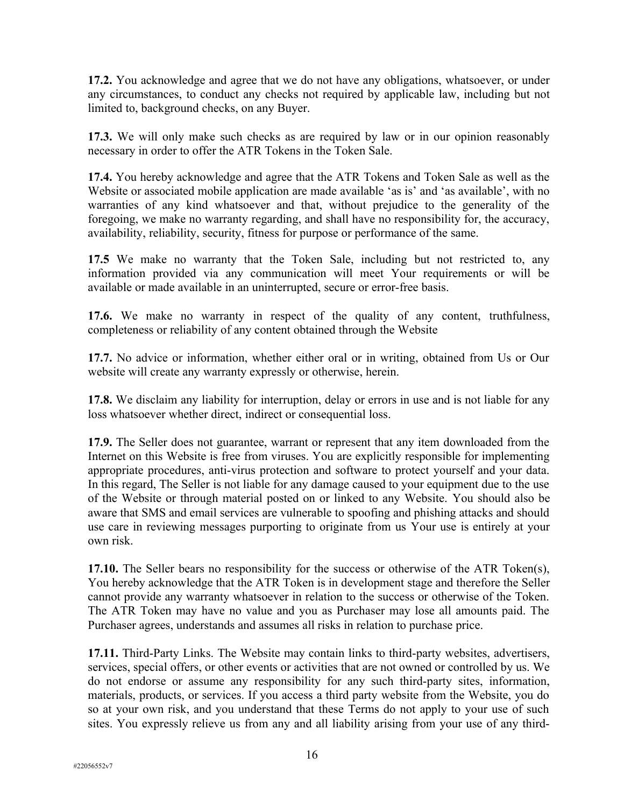**17.2.** You acknowledge and agree that we do not have any obligations, whatsoever, or under any circumstances, to conduct any checks not required by applicable law, including but not limited to, background checks, on any Buyer.

**17.3.** We will only make such checks as are required by law or in our opinion reasonably necessary in order to offer the ATR Tokens in the Token Sale.

**17.4.** You hereby acknowledge and agree that the ATR Tokens and Token Sale as well as the Website or associated mobile application are made available 'as is' and 'as available', with no warranties of any kind whatsoever and that, without prejudice to the generality of the foregoing, we make no warranty regarding, and shall have no responsibility for, the accuracy, availability, reliability, security, fitness for purpose or performance of the same.

**17.5** We make no warranty that the Token Sale, including but not restricted to, any information provided via any communication will meet Your requirements or will be available or made available in an uninterrupted, secure or error-free basis.

**17.6.** We make no warranty in respect of the quality of any content, truthfulness, completeness or reliability of any content obtained through the Website

**17.7.** No advice or information, whether either oral or in writing, obtained from Us or Our website will create any warranty expressly or otherwise, herein.

**17.8.** We disclaim any liability for interruption, delay or errors in use and is not liable for any loss whatsoever whether direct, indirect or consequential loss.

**17.9.** The Seller does not guarantee, warrant or represent that any item downloaded from the Internet on this Website is free from viruses. You are explicitly responsible for implementing appropriate procedures, anti-virus protection and software to protect yourself and your data. In this regard, The Seller is not liable for any damage caused to your equipment due to the use of the Website or through material posted on or linked to any Website. You should also be aware that SMS and email services are vulnerable to spoofing and phishing attacks and should use care in reviewing messages purporting to originate from us Your use is entirely at your own risk.

**17.10.** The Seller bears no responsibility for the success or otherwise of the ATR Token(s), You hereby acknowledge that the ATR Token is in development stage and therefore the Seller cannot provide any warranty whatsoever in relation to the success or otherwise of the Token. The ATR Token may have no value and you as Purchaser may lose all amounts paid. The Purchaser agrees, understands and assumes all risks in relation to purchase price.

**17.11.** Third-Party Links. The Website may contain links to third-party websites, advertisers, services, special offers, or other events or activities that are not owned or controlled by us. We do not endorse or assume any responsibility for any such third-party sites, information, materials, products, or services. If you access a third party website from the Website, you do so at your own risk, and you understand that these Terms do not apply to your use of such sites. You expressly relieve us from any and all liability arising from your use of any third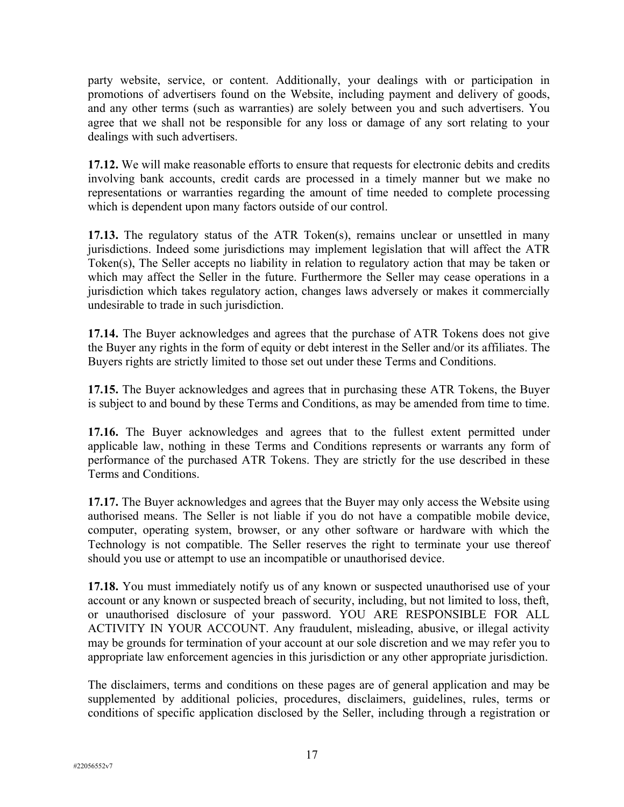party website, service, or content. Additionally, your dealings with or participation in promotions of advertisers found on the Website, including payment and delivery of goods, and any other terms (such as warranties) are solely between you and such advertisers. You agree that we shall not be responsible for any loss or damage of any sort relating to your dealings with such advertisers.

**17.12.** We will make reasonable efforts to ensure that requests for electronic debits and credits involving bank accounts, credit cards are processed in a timely manner but we make no representations or warranties regarding the amount of time needed to complete processing which is dependent upon many factors outside of our control.

**17.13.** The regulatory status of the ATR Token(s), remains unclear or unsettled in many jurisdictions. Indeed some jurisdictions may implement legislation that will affect the ATR Token(s), The Seller accepts no liability in relation to regulatory action that may be taken or which may affect the Seller in the future. Furthermore the Seller may cease operations in a jurisdiction which takes regulatory action, changes laws adversely or makes it commercially undesirable to trade in such jurisdiction.

**17.14.** The Buyer acknowledges and agrees that the purchase of ATR Tokens does not give the Buyer any rights in the form of equity or debt interest in the Seller and/or its affiliates. The Buyers rights are strictly limited to those set out under these Terms and Conditions.

**17.15.** The Buyer acknowledges and agrees that in purchasing these ATR Tokens, the Buyer is subject to and bound by these Terms and Conditions, as may be amended from time to time.

**17.16.** The Buyer acknowledges and agrees that to the fullest extent permitted under applicable law, nothing in these Terms and Conditions represents or warrants any form of performance of the purchased ATR Tokens. They are strictly for the use described in these Terms and Conditions.

**17.17.** The Buyer acknowledges and agrees that the Buyer may only access the Website using authorised means. The Seller is not liable if you do not have a compatible mobile device, computer, operating system, browser, or any other software or hardware with which the Technology is not compatible. The Seller reserves the right to terminate your use thereof should you use or attempt to use an incompatible or unauthorised device.

**17.18.** You must immediately notify us of any known or suspected unauthorised use of your account or any known or suspected breach of security, including, but not limited to loss, theft, or unauthorised disclosure of your password. YOU ARE RESPONSIBLE FOR ALL ACTIVITY IN YOUR ACCOUNT. Any fraudulent, misleading, abusive, or illegal activity may be grounds for termination of your account at our sole discretion and we may refer you to appropriate law enforcement agencies in this jurisdiction or any other appropriate jurisdiction.

The disclaimers, terms and conditions on these pages are of general application and may be supplemented by additional policies, procedures, disclaimers, guidelines, rules, terms or conditions of specific application disclosed by the Seller, including through a registration or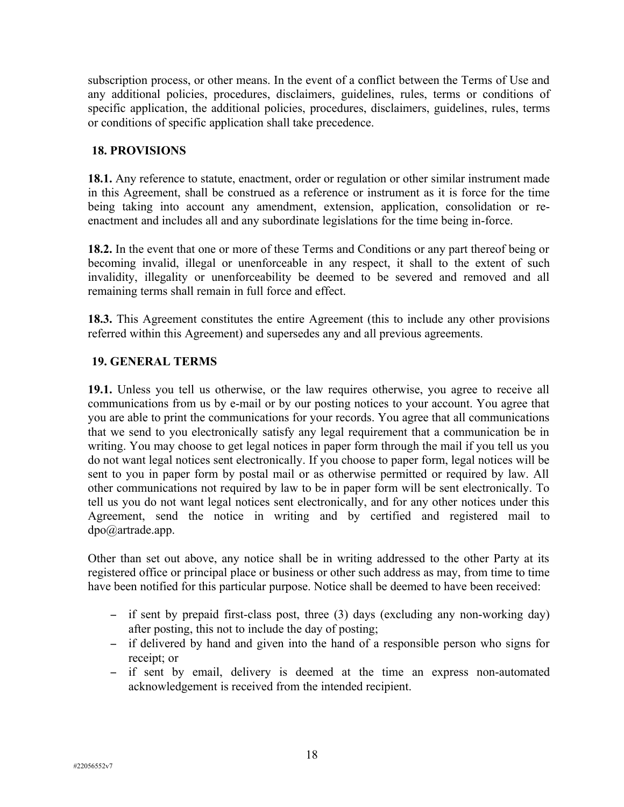subscription process, or other means. In the event of a conflict between the Terms of Use and any additional policies, procedures, disclaimers, guidelines, rules, terms or conditions of specific application, the additional policies, procedures, disclaimers, guidelines, rules, terms or conditions of specific application shall take precedence.

#### **18. PROVISIONS**

**18.1.** Any reference to statute, enactment, order or regulation or other similar instrument made in this Agreement, shall be construed as a reference or instrument as it is force for the time being taking into account any amendment, extension, application, consolidation or reenactment and includes all and any subordinate legislations for the time being in-force.

**18.2.** In the event that one or more of these Terms and Conditions or any part thereof being or becoming invalid, illegal or unenforceable in any respect, it shall to the extent of such invalidity, illegality or unenforceability be deemed to be severed and removed and all remaining terms shall remain in full force and effect.

**18.3.** This Agreement constitutes the entire Agreement (this to include any other provisions referred within this Agreement) and supersedes any and all previous agreements.

### **19. GENERAL TERMS**

**19.1.** Unless you tell us otherwise, or the law requires otherwise, you agree to receive all communications from us by e-mail or by our posting notices to your account. You agree that you are able to print the communications for your records. You agree that all communications that we send to you electronically satisfy any legal requirement that a communication be in writing. You may choose to get legal notices in paper form through the mail if you tell us you do not want legal notices sent electronically. If you choose to paper form, legal notices will be sent to you in paper form by postal mail or as otherwise permitted or required by law. All other communications not required by law to be in paper form will be sent electronically. To tell us you do not want legal notices sent electronically, and for any other notices under this Agreement, send the notice in writing and by certified and registered mail to dpo@artrade.app.

Other than set out above, any notice shall be in writing addressed to the other Party at its registered office or principal place or business or other such address as may, from time to time have been notified for this particular purpose. Notice shall be deemed to have been received:

- if sent by prepaid first-class post, three (3) days (excluding any non-working day) after posting, this not to include the day of posting;
- if delivered by hand and given into the hand of a responsible person who signs for receipt; or
- if sent by email, delivery is deemed at the time an express non-automated acknowledgement is received from the intended recipient.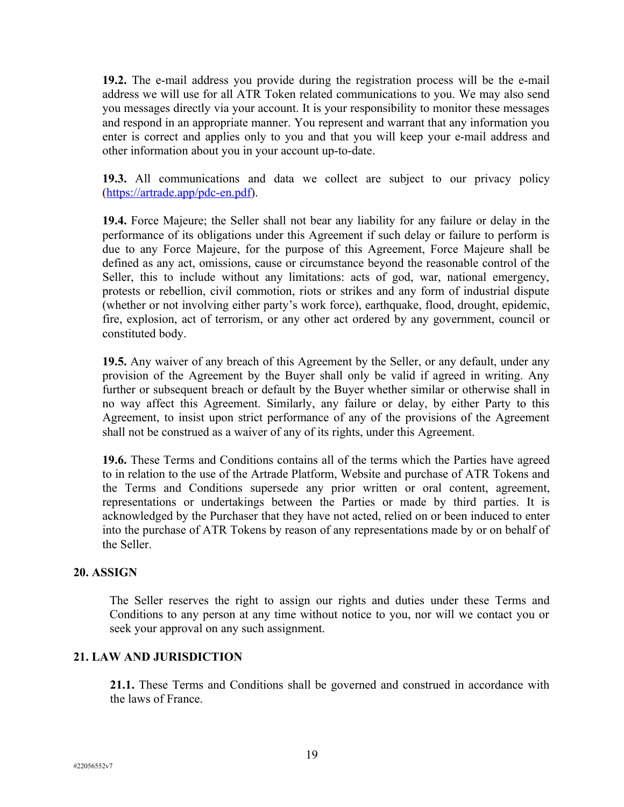**19.2.** The e-mail address you provide during the registration process will be the e-mail address we will use for all ATR Token related communications to you. We may also send you messages directly via your account. It is your responsibility to monitor these messages and respond in an appropriate manner. You represent and warrant that any information you enter is correct and applies only to you and that you will keep your e-mail address and other information about you in your account up-to-date.

**19.3.** All communications and data we collect are subject to our privacy policy [\(https://artrade.app/pdc-en.pdf](https://artrade.app/pdc-en.pdf)).

**19.4.** Force Majeure; the Seller shall not bear any liability for any failure or delay in the performance of its obligations under this Agreement if such delay or failure to perform is due to any Force Majeure, for the purpose of this Agreement, Force Majeure shall be defined as any act, omissions, cause or circumstance beyond the reasonable control of the Seller, this to include without any limitations: acts of god, war, national emergency, protests or rebellion, civil commotion, riots or strikes and any form of industrial dispute (whether or not involving either party's work force), earthquake, flood, drought, epidemic, fire, explosion, act of terrorism, or any other act ordered by any government, council or constituted body.

**19.5.** Any waiver of any breach of this Agreement by the Seller, or any default, under any provision of the Agreement by the Buyer shall only be valid if agreed in writing. Any further or subsequent breach or default by the Buyer whether similar or otherwise shall in no way affect this Agreement. Similarly, any failure or delay, by either Party to this Agreement, to insist upon strict performance of any of the provisions of the Agreement shall not be construed as a waiver of any of its rights, under this Agreement.

**19.6.** These Terms and Conditions contains all of the terms which the Parties have agreed to in relation to the use of the Artrade Platform, Website and purchase of ATR Tokens and the Terms and Conditions supersede any prior written or oral content, agreement, representations or undertakings between the Parties or made by third parties. It is acknowledged by the Purchaser that they have not acted, relied on or been induced to enter into the purchase of ATR Tokens by reason of any representations made by or on behalf of the Seller.

### **20. ASSIGN**

The Seller reserves the right to assign our rights and duties under these Terms and Conditions to any person at any time without notice to you, nor will we contact you or seek your approval on any such assignment.

### **21. LAW AND JURISDICTION**

**21.1.** These Terms and Conditions shall be governed and construed in accordance with the laws of France.